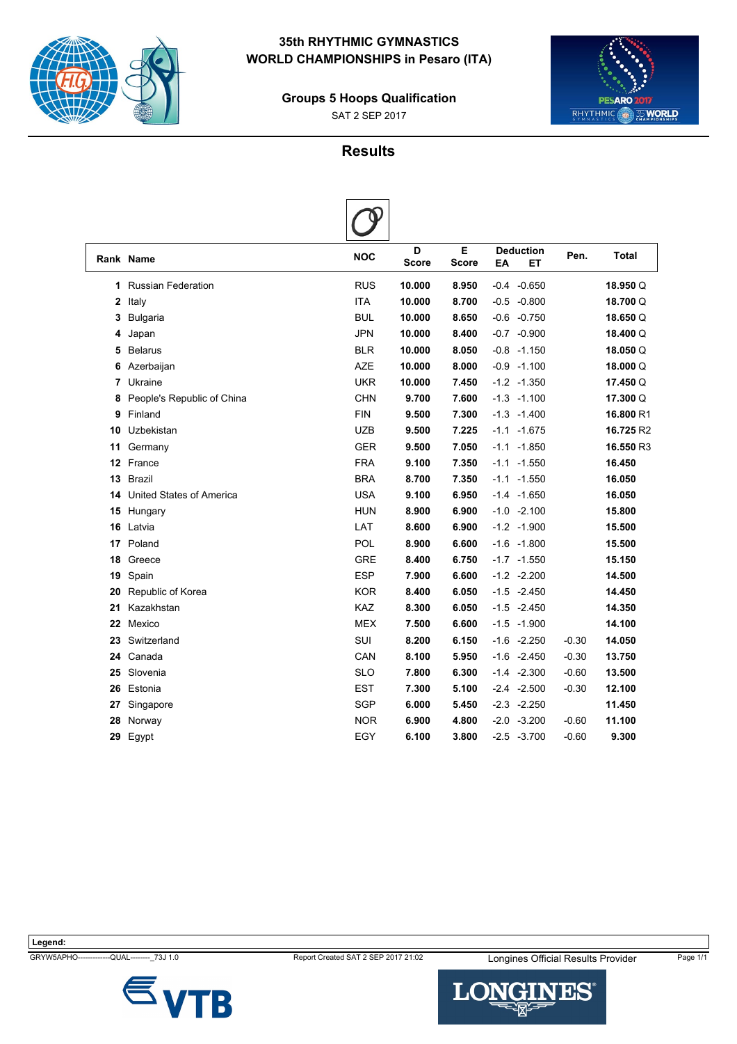

# **35th RHYTHMIC GYMNASTICS WORLD CHAMPIONSHIPS in Pesaro (ITA)**

**Groups 5 Hoops Qualification**

SAT 2 SEP 2017



# **Results**

|    | Rank Name                       | <b>NOC</b> | D<br><b>Score</b> | Е<br><b>Score</b> | <b>Deduction</b><br>EA<br>EТ | Pen.    | <b>Total</b> |
|----|---------------------------------|------------|-------------------|-------------------|------------------------------|---------|--------------|
| 1  | <b>Russian Federation</b>       | <b>RUS</b> | 10.000            | 8.950             | $-0.4 - 0.650$               |         | 18.950 Q     |
| 2  | Italy                           | <b>ITA</b> | 10.000            | 8.700             | $-0.5 -0.800$                |         | 18.700 Q     |
| 3  | Bulgaria                        | <b>BUL</b> | 10.000            | 8.650             | $-0.6 -0.750$                |         | 18.650Q      |
| 4  | Japan                           | <b>JPN</b> | 10.000            | 8.400             | $-0.7 -0.900$                |         | 18.400 Q     |
| 5  | <b>Belarus</b>                  | <b>BLR</b> | 10.000            | 8.050             | $-0.8 - 1.150$               |         | 18.050Q      |
| 6  | Azerbaijan                      | <b>AZE</b> | 10.000            | 8.000             | $-0.9 - 1.100$               |         | 18.000Q      |
| 7  | Ukraine                         | <b>UKR</b> | 10.000            | 7.450             | $-1.2 -1.350$                |         | 17.450 Q     |
| 8  | People's Republic of China      | <b>CHN</b> | 9.700             | 7.600             | $-1.3 - 1.100$               |         | 17.300 Q     |
| 9  | Finland                         | <b>FIN</b> | 9.500             | 7.300             | $-1.3 - 1.400$               |         | 16.800 R1    |
| 10 | Uzbekistan                      | UZB        | 9.500             | 7.225             | $-1.1 - 1.675$               |         | 16.725 R2    |
| 11 | Germany                         | <b>GER</b> | 9.500             | 7.050             | $-1.1 - 1.850$               |         | 16.550 R3    |
| 12 | France                          | <b>FRA</b> | 9.100             | 7.350             | $-1.1 - 1.550$               |         | 16.450       |
| 13 | <b>Brazil</b>                   | <b>BRA</b> | 8.700             | 7.350             | $-1.1 - 1.550$               |         | 16.050       |
| 14 | <b>United States of America</b> | <b>USA</b> | 9.100             | 6.950             | $-1.4 -1.650$                |         | 16.050       |
| 15 | Hungary                         | <b>HUN</b> | 8.900             | 6.900             | $-1.0 -2.100$                |         | 15.800       |
| 16 | Latvia                          | LAT        | 8.600             | 6.900             | $-1.2 -1.900$                |         | 15.500       |
| 17 | Poland                          | POL        | 8.900             | 6.600             | $-1.6 - 1.800$               |         | 15.500       |
| 18 | Greece                          | <b>GRE</b> | 8.400             | 6.750             | $-1.7 - 1.550$               |         | 15.150       |
| 19 | Spain                           | <b>ESP</b> | 7.900             | 6.600             | $-1.2 -2.200$                |         | 14.500       |
| 20 | Republic of Korea               | <b>KOR</b> | 8.400             | 6.050             | $-1.5 -2.450$                |         | 14.450       |
| 21 | Kazakhstan                      | <b>KAZ</b> | 8.300             | 6.050             | $-1.5 -2.450$                |         | 14.350       |
| 22 | Mexico                          | <b>MEX</b> | 7.500             | 6.600             | $-1.5 - 1.900$               |         | 14.100       |
| 23 | Switzerland                     | <b>SUI</b> | 8.200             | 6.150             | $-1.6 -2.250$                | $-0.30$ | 14.050       |
| 24 | Canada                          | CAN        | 8.100             | 5.950             | $-1.6 -2.450$                | $-0.30$ | 13.750       |
| 25 | Slovenia                        | <b>SLO</b> | 7.800             | 6.300             | $-1.4 -2.300$                | $-0.60$ | 13.500       |
| 26 | Estonia                         | <b>EST</b> | 7.300             | 5.100             | $-2.4 -2.500$                | $-0.30$ | 12.100       |
| 27 | Singapore                       | <b>SGP</b> | 6.000             | 5.450             | $-2.3 -2.250$                |         | 11.450       |
| 28 | Norway                          | <b>NOR</b> | 6.900             | 4.800             | $-2.0 -3.200$                | $-0.60$ | 11.100       |
| 29 | Egypt                           | EGY        | 6.100             | 3.800             | $-2.5 -3.700$                | $-0.60$ | 9.300        |
|    |                                 |            |                   |                   |                              |         |              |





--QUAL--------<sub>-</sub>73J 1.0 **Report Created SAT 2 SEP 2017 21:02** Longines Official Results Provider Page 1/1

LONGI **NES®**